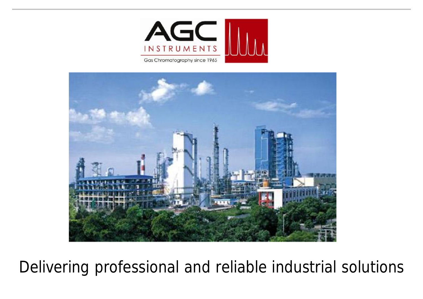



Delivering professional and reliable industrial solutions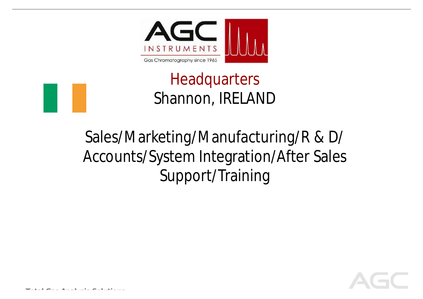

# **Headquarters** Shannon, IRELAND

# Sales/Marketing/Manufacturing/R & D/ Accounts/System Integration/After Sales Support/Training

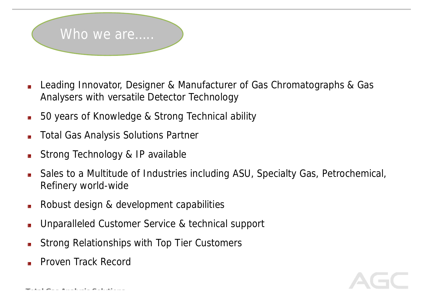

- Leading Innovator, Designer & Manufacturer of Gas Chromatographs & Gas Analysers with versatile Detector Technology
- 50 years of Knowledge & Strong Technical ability Шı.
- Total Gas Analysis Solutions Partner
- Strong Technology & IP available
- Sales to a Multitude of Industries including ASU, Specialty Gas, Petrochemical, Refinery world-wide
- Robust design & development capabilities
- Unparalleled Customer Service & technical support
- Strong Relationships with Top Tier Customers
- Proven Track Record

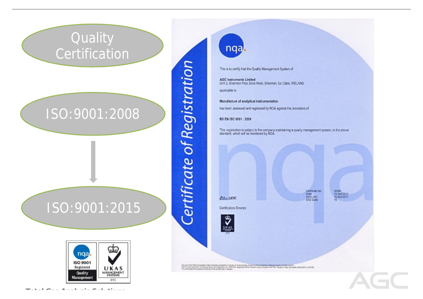### **Quality Certification**

### ISO:9001:2008

ISO:9001:2015



*<u>Certificate</u>* of Registration

nqa.

This is to certify that the Quality Management System of

**AGC Instruments Limited** Unit 2, Shannon Free Zone West, Shannon, Co Clare, IRELAND

applicable to

Manufacture of analytical instrumentation

has been assessed and registered by NQA against the provisions of

BS EN ISO 9001 : 2008

This registration is subject to the company maintaining a quality management system, to the above<br>standard, which will be monitored by NGA.

baywere

Certificate No: Date:<br>Veld Unit:<br>EAC Code:

50384<br>16 April 2014<br>16 April 2017

Certification Director



The use of the ONAS Accredition Mark indicates accreditely in record of from activism covered by the accredition constitute market and the Mark Park Accreditions, LLS 52X<br>NOX is a transity display of Mark and Mark Market a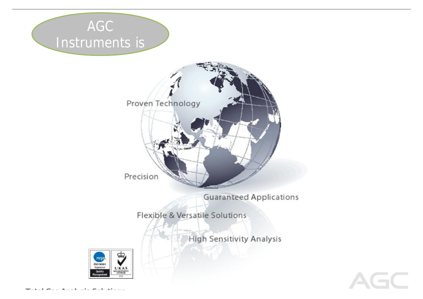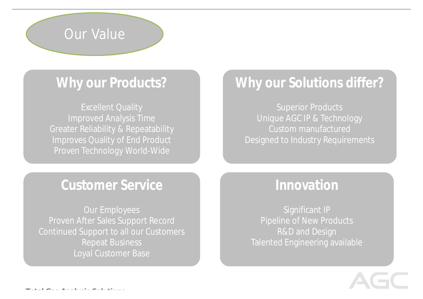

### **Why our Products?**

Excellent Quality Improved Analysis Time Greater Reliability & Repeatability Improves Quality of End Product Proven Technology World-Wide

### **Why our Solutions differ?**

Superior Products Unique AGC IP & Technology Custom manufactured Designed to Industry Requirements

#### **Customer Service**

Our Employees Proven After Sales Support Record Continued Support to all our Customers Repeat Business Loyal Customer Base

### **Innovation**

Significant IP Pipeline of New Products R&D and Design Talented Engineering available

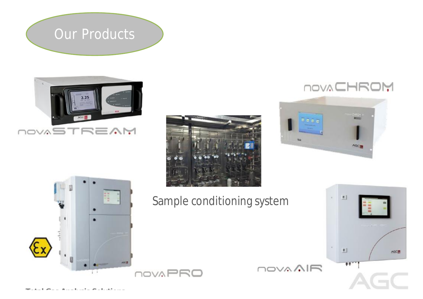## Our Products











Sample conditioning system

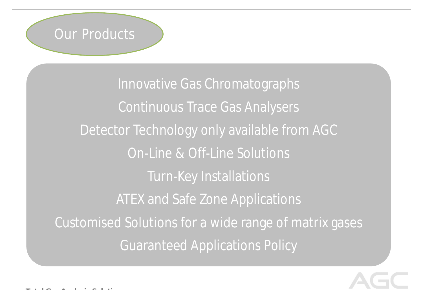

Innovative Gas Chromatographs Continuous Trace Gas Analysers Detector Technology only available from AGC On-Line & Off-Line Solutions Turn-Key Installations ATEX and Safe Zone Applications Customised Solutions for a wide range of matrix gases Guaranteed Applications Policy

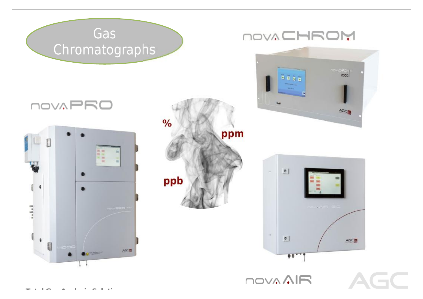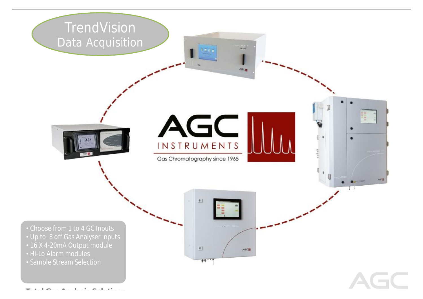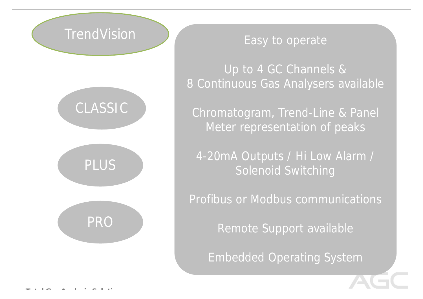### **TrendVision**



#### Easy to operate

Up to 4 GC Channels & 8 Continuous Gas Analysers available

Chromatogram, Trend-Line & Panel Meter representation of peaks

4-20mA Outputs / Hi Low Alarm / Solenoid Switching

Profibus or Modbus communications

Remote Support available

Embedded Operating System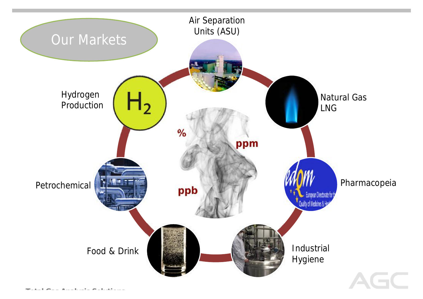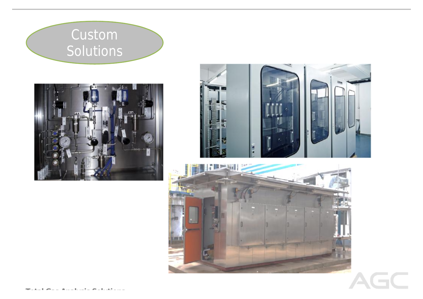### Custom Solutions







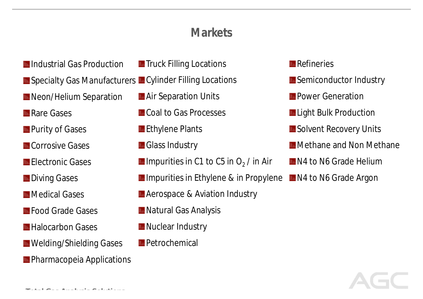#### **Markets**

- **Industrial Gas Production**
- Specialty Gas Manufacturers Cylinder Filling Locations
- **IL** Neon/Helium Separation
- **Rare Gases**
- **The Purity of Gases**
- **III** Corrosive Gases
- **Electronic Gases**
- **LL** Diving Gases
- **LL** Medical Gases
- **LL** Food Grade Gases
- **LL** Halocarbon Gases
- **M** Welding/Shielding Gases
- **n** Pharmacopeia Applications

*Total Gas Analysis Solutions*

- **To Truck Filling Locations**
- - **M** Air Separation Units
	- **LLCoal to Gas Processes**
	- **Ethylene Plants**
	- **LL** Glass Industry
	- Impurities in C1 to C5 in  $O_2$  / in Air
	- **Im** Impurities in Ethylene & in Propylene
	- **Le** Aerospace & Aviation Industry
	- **III** Natural Gas Analysis
	- **M** Nuclear Industry
	- **LL** Petrochemical

#### **III** Refineries

- **III** Semiconductor Industry
- **III** Power Generation
- **Lu** Light Bulk Production
- **IL** Solvent Recovery Units
- **M** Methane and Non Methane
- **III** N4 to N6 Grade Helium
- **III** N4 to N6 Grade Argon

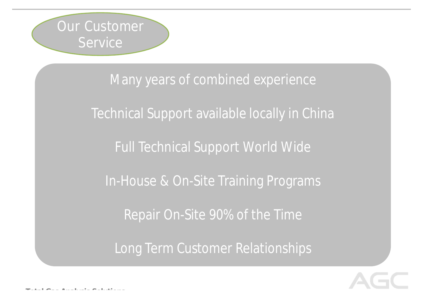

Many years of combined experience Technical Support available locally in China Full Technical Support World Wide In-House & On-Site Training Programs Repair On-Site 90% of the Time Long Term Customer Relationships

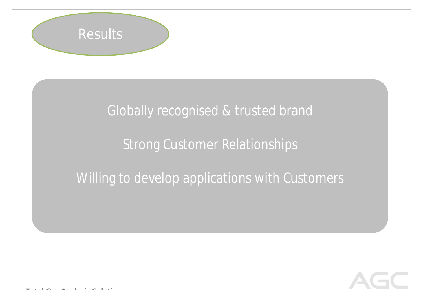

### Globally recognised & trusted brand

### Strong Customer Relationships

### Willing to develop applications with Customers